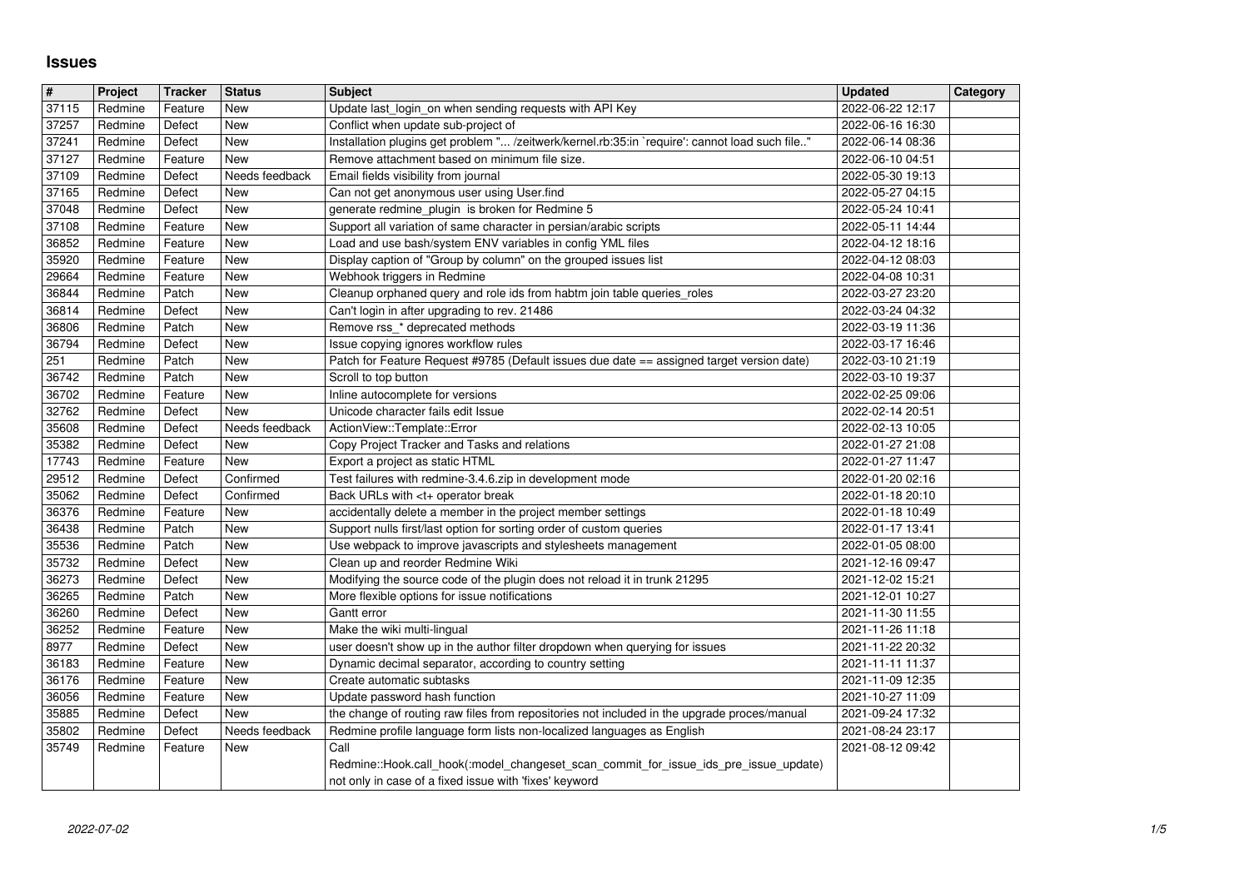## **Issues**

| $\overline{\boldsymbol{H}}$ | Project            | <b>Tracker</b>    | <b>Status</b>         | <b>Subject</b>                                                                                                                                                        | <b>Updated</b>                       | Category |
|-----------------------------|--------------------|-------------------|-----------------------|-----------------------------------------------------------------------------------------------------------------------------------------------------------------------|--------------------------------------|----------|
| 37115                       | Redmine            | Feature           | <b>New</b>            | Update last login on when sending requests with API Key                                                                                                               | 2022-06-22 12:17                     |          |
| 37257                       | Redmine            | Defect            | <b>New</b>            | Conflict when update sub-project of                                                                                                                                   | 2022-06-16 16:30                     |          |
| 37241<br>37127              | Redmine<br>Redmine | Defect<br>Feature | New<br>New            | Installation plugins get problem " /zeitwerk/kernel.rb:35:in `require': cannot load such file"<br>Remove attachment based on minimum file size.                       | 2022-06-14 08:36<br>2022-06-10 04:51 |          |
| 37109                       | Redmine            | Defect            | Needs feedback        | Email fields visibility from journal                                                                                                                                  | 2022-05-30 19:13                     |          |
| 37165                       | Redmine            | Defect            | New                   | Can not get anonymous user using User.find                                                                                                                            | 2022-05-27 04:15                     |          |
| 37048<br>37108              | Redmine<br>Redmine | Defect<br>Feature | New<br>New            | generate redmine_plugin is broken for Redmine 5<br>Support all variation of same character in persian/arabic scripts                                                  | 2022-05-24 10:41<br>2022-05-11 14:44 |          |
| 36852                       | Redmine            | Feature           | New                   | Load and use bash/system ENV variables in config YML files                                                                                                            | 2022-04-12 18:16                     |          |
| 35920                       | Redmine            | Feature           | <b>New</b>            | Display caption of "Group by column" on the grouped issues list                                                                                                       | 2022-04-12 08:03                     |          |
| 29664                       | Redmine            | Feature           | New                   | Webhook triggers in Redmine                                                                                                                                           | 2022-04-08 10:31                     |          |
| 36844<br>36814              | Redmine<br>Redmine | Patch<br>Defect   | New<br>New            | Cleanup orphaned query and role ids from habtm join table queries_roles                                                                                               | 2022-03-27 23:20<br>2022-03-24 04:32 |          |
| 36806                       | Redmine            | Patch             | <b>New</b>            | Can't login in after upgrading to rev. 21486<br>Remove rss_* deprecated methods                                                                                       | 2022-03-19 11:36                     |          |
| 36794                       | Redmine            | Defect            | New                   | Issue copying ignores workflow rules                                                                                                                                  | 2022-03-17 16:46                     |          |
| 251                         | Redmine            | Patch             | <b>New</b>            | Patch for Feature Request #9785 (Default issues due date == assigned target version date)                                                                             | 2022-03-10 21:19                     |          |
| 36742<br>36702              | Redmine<br>Redmine | Patch<br>Feature  | New<br>New            | Scroll to top button<br>Inline autocomplete for versions                                                                                                              | 2022-03-10 19:37<br>2022-02-25 09:06 |          |
| 32762                       | Redmine            | Defect            | New                   | Unicode character fails edit Issue                                                                                                                                    | 2022-02-14 20:51                     |          |
| 35608                       | Redmine            | Defect            | Needs feedback        | ActionView::Template::Error                                                                                                                                           | 2022-02-13 10:05                     |          |
| 35382                       | Redmine            | Defect            | New                   | Copy Project Tracker and Tasks and relations                                                                                                                          | 2022-01-27 21:08                     |          |
| 17743<br>29512              | Redmine<br>Redmine | Feature<br>Defect | New<br>Confirmed      | Export a project as static HTML<br>Test failures with redmine-3.4.6.zip in development mode                                                                           | 2022-01-27 11:47<br>2022-01-20 02:16 |          |
| 35062                       | Redmine            | Defect            | Confirmed             | Back URLs with <t+ break<="" operator="" td=""><td>2022-01-18 20:10</td><td></td></t+>                                                                                | 2022-01-18 20:10                     |          |
| 36376                       | Redmine            | Feature           | New                   | accidentally delete a member in the project member settings                                                                                                           | 2022-01-18 10:49                     |          |
| 36438                       | Redmine            | Patch             | New                   | Support nulls first/last option for sorting order of custom queries                                                                                                   | 2022-01-17 13:41                     |          |
| 35536<br>35732              | Redmine<br>Redmine | Patch<br>Defect   | New<br>New            | Use webpack to improve javascripts and stylesheets management<br>Clean up and reorder Redmine Wiki                                                                    | 2022-01-05 08:00<br>2021-12-16 09:47 |          |
| 36273                       | Redmine            | Defect            | <b>New</b>            | Modifying the source code of the plugin does not reload it in trunk 21295                                                                                             | 2021-12-02 15:21                     |          |
| 36265                       | Redmine            | Patch             | New                   | More flexible options for issue notifications                                                                                                                         | 2021-12-01 10:27                     |          |
| 36260                       | Redmine            | Defect            | New                   | Gantt error                                                                                                                                                           | 2021-11-30 11:55                     |          |
| 36252<br>8977               | Redmine<br>Redmine | Feature<br>Defect | <b>New</b><br>New     | Make the wiki multi-lingual<br>user doesn't show up in the author filter dropdown when querying for issues                                                            | 2021-11-26 11:18<br>2021-11-22 20:32 |          |
| 36183                       | Redmine            | Feature           | New                   | Dynamic decimal separator, according to country setting                                                                                                               | 2021-11-11 11:37                     |          |
| 36176                       | Redmine            | Feature           | New                   | Create automatic subtasks                                                                                                                                             | 2021-11-09 12:35                     |          |
| 36056                       | Redmine            | Feature           | New                   | Update password hash function                                                                                                                                         | 2021-10-27 11:09                     |          |
| 35885<br>35802              | Redmine<br>Redmine | Defect<br>Defect  | New<br>Needs feedback | the change of routing raw files from repositories not included in the upgrade proces/manual<br>Redmine profile language form lists non-localized languages as English | 2021-09-24 17:32<br>2021-08-24 23:17 |          |
| 35749                       | Redmine            | Feature           | New                   | Call                                                                                                                                                                  | 2021-08-12 09:42                     |          |
|                             |                    |                   |                       | Redmine::Hook.call_hook(:model_changeset_scan_commit_for_issue_ids_pre_issue_update)<br>not only in case of a fixed issue with 'fixes' keyword                        |                                      |          |
|                             |                    |                   |                       |                                                                                                                                                                       |                                      |          |
|                             |                    |                   |                       |                                                                                                                                                                       |                                      |          |
|                             |                    |                   |                       |                                                                                                                                                                       |                                      |          |
|                             |                    |                   |                       |                                                                                                                                                                       |                                      |          |
|                             |                    |                   |                       |                                                                                                                                                                       |                                      |          |
|                             |                    |                   |                       |                                                                                                                                                                       |                                      |          |
|                             |                    |                   |                       |                                                                                                                                                                       |                                      |          |
|                             |                    |                   |                       |                                                                                                                                                                       |                                      |          |
|                             |                    |                   |                       |                                                                                                                                                                       |                                      |          |
|                             |                    |                   |                       |                                                                                                                                                                       |                                      |          |
|                             |                    |                   |                       |                                                                                                                                                                       |                                      |          |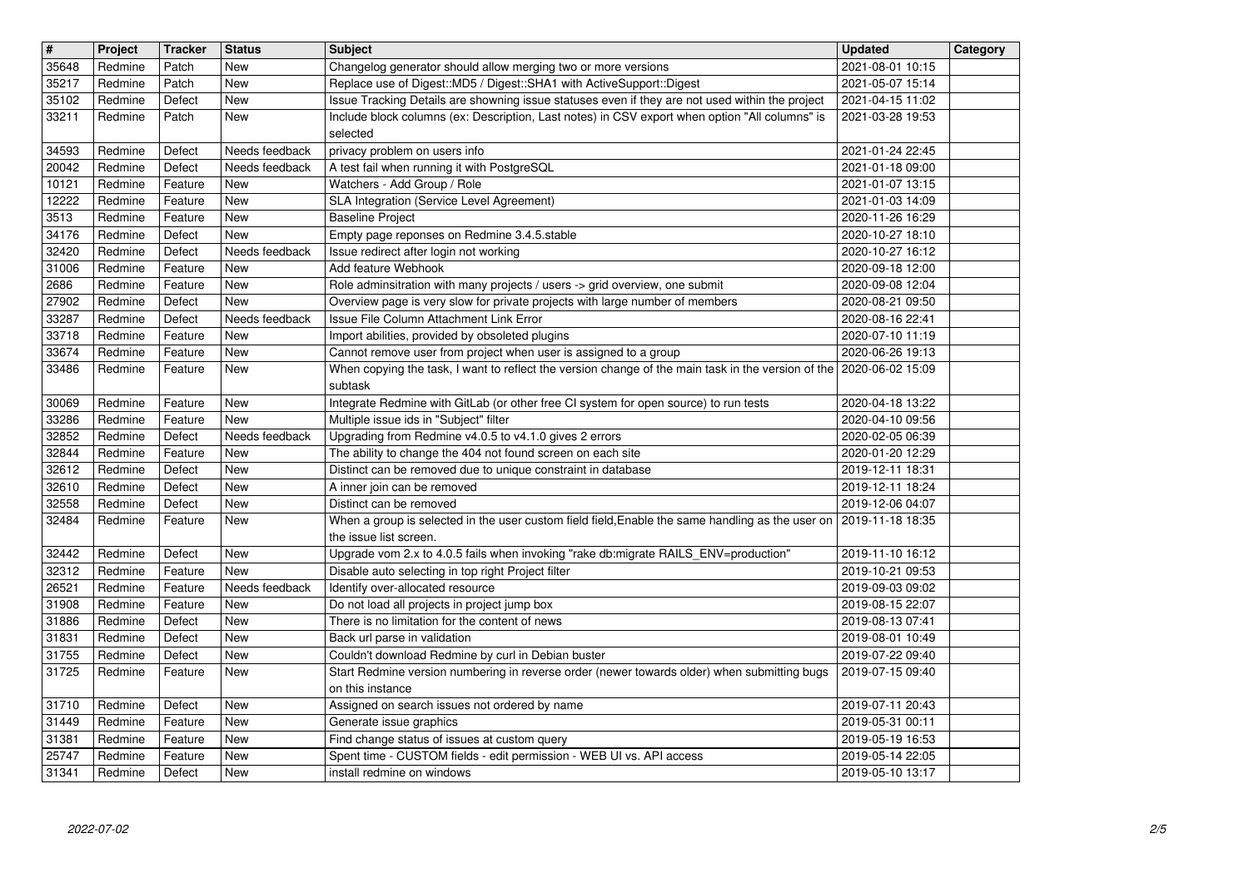| $\overline{\mathbf{H}}$ | Project            | <b>Tracker</b>     | <b>Status</b>            | <b>Subject</b>                                                                                                                                                                          | <b>Updated</b>                       | Category |
|-------------------------|--------------------|--------------------|--------------------------|-----------------------------------------------------------------------------------------------------------------------------------------------------------------------------------------|--------------------------------------|----------|
| 35648                   | Redmine            | Patch              | <b>New</b>               | Changelog generator should allow merging two or more versions                                                                                                                           | 2021-08-01 10:15                     |          |
| 35217<br>35102          | Redmine<br>Redmine | Patch<br>Defect    | <b>New</b><br><b>New</b> | Replace use of Digest:: MD5 / Digest:: SHA1 with ActiveSupport:: Digest<br>Issue Tracking Details are showning issue statuses even if they are not used within the project              | 2021-05-07 15:14<br>2021-04-15 11:02 |          |
| 33211                   | Redmine            | Patch              | New                      | Include block columns (ex: Description, Last notes) in CSV export when option "All columns" is                                                                                          | 2021-03-28 19:53                     |          |
|                         |                    |                    |                          | selected                                                                                                                                                                                |                                      |          |
| 34593                   | Redmine            | Defect             | Needs feedback           | privacy problem on users info                                                                                                                                                           | 2021-01-24 22:45                     |          |
| 20042                   | Redmine            | Defect             | Needs feedback           | A test fail when running it with PostgreSQL                                                                                                                                             | 2021-01-18 09:00                     |          |
| 10121<br>12222          | Redmine<br>Redmine | Feature<br>Feature | New<br>New               | Watchers - Add Group / Role<br>SLA Integration (Service Level Agreement)                                                                                                                | 2021-01-07 13:15<br>2021-01-03 14:09 |          |
| 3513                    | Redmine            | Feature            | New                      | <b>Baseline Project</b>                                                                                                                                                                 | 2020-11-26 16:29                     |          |
| 34176                   | Redmine            | Defect             | <b>New</b>               | Empty page reponses on Redmine 3.4.5.stable                                                                                                                                             | 2020-10-27 18:10                     |          |
| 32420                   | Redmine            | Defect             | Needs feedback           | Issue redirect after login not working                                                                                                                                                  | 2020-10-27 16:12                     |          |
| 31006<br>2686           | Redmine<br>Redmine | Feature<br>Feature | <b>New</b><br><b>New</b> | Add feature Webhook<br>Role adminsitration with many projects / users -> grid overview, one submit                                                                                      | 2020-09-18 12:00<br>2020-09-08 12:04 |          |
| 27902                   | Redmine            | Defect             | <b>New</b>               | Overview page is very slow for private projects with large number of members                                                                                                            | 2020-08-21 09:50                     |          |
| 33287                   | Redmine            | Defect             | Needs feedback           | Issue File Column Attachment Link Error                                                                                                                                                 | 2020-08-16 22:41                     |          |
| 33718                   | Redmine            | Feature            | New                      | Import abilities, provided by obsoleted plugins                                                                                                                                         | 2020-07-10 11:19                     |          |
| 33674<br>33486          | Redmine<br>Redmine | Feature<br>Feature | <b>New</b><br><b>New</b> | Cannot remove user from project when user is assigned to a group<br>When copying the task, I want to reflect the version change of the main task in the version of the 2020-06-02 15:09 | 2020-06-26 19:13                     |          |
|                         |                    |                    |                          | subtask                                                                                                                                                                                 |                                      |          |
| 30069                   | Redmine            | Feature            | New                      | Integrate Redmine with GitLab (or other free CI system for open source) to run tests                                                                                                    | 2020-04-18 13:22                     |          |
| 33286                   | Redmine            | Feature            | New                      | Multiple issue ids in "Subject" filter                                                                                                                                                  | 2020-04-10 09:56                     |          |
| 32852<br>32844          | Redmine<br>Redmine | Defect<br>Feature  | Needs feedback<br>New    | Upgrading from Redmine v4.0.5 to v4.1.0 gives 2 errors<br>The ability to change the 404 not found screen on each site                                                                   | 2020-02-05 06:39<br>2020-01-20 12:29 |          |
| 32612                   | Redmine            | Defect             | New                      | Distinct can be removed due to unique constraint in database                                                                                                                            | 2019-12-11 18:31                     |          |
| 32610                   | Redmine            | Defect             | <b>New</b>               | A inner join can be removed                                                                                                                                                             | 2019-12-11 18:24                     |          |
| 32558                   | Redmine            | Defect             | <b>New</b>               | Distinct can be removed                                                                                                                                                                 | 2019-12-06 04:07                     |          |
| 32484                   | Redmine            | Feature            | New                      | When a group is selected in the user custom field field, Enable the same handling as the user on<br>the issue list screen.                                                              | 2019-11-18 18:35                     |          |
| 32442                   | Redmine            | Defect             | <b>New</b>               | Upgrade vom 2.x to 4.0.5 fails when invoking "rake db:migrate RAILS_ENV=production"                                                                                                     | 2019-11-10 16:12                     |          |
| 32312                   | Redmine            | Feature            | <b>New</b>               | Disable auto selecting in top right Project filter                                                                                                                                      | 2019-10-21 09:53                     |          |
| 26521                   | Redmine            | Feature            | Needs feedback           | Identify over-allocated resource                                                                                                                                                        | 2019-09-03 09:02                     |          |
| 31908<br>31886          | Redmine<br>Redmine | Feature<br>Defect  | New<br><b>New</b>        | Do not load all projects in project jump box<br>There is no limitation for the content of news                                                                                          | 2019-08-15 22:07<br>2019-08-13 07:41 |          |
| 31831                   | Redmine            | Defect             | New                      | Back url parse in validation                                                                                                                                                            | 2019-08-01 10:49                     |          |
| 31755                   | Redmine            | Defect             | New                      | Couldn't download Redmine by curl in Debian buster                                                                                                                                      | 2019-07-22 09:40                     |          |
| 31725                   | Redmine            | Feature            | <b>New</b>               | Start Redmine version numbering in reverse order (newer towards older) when submitting bugs                                                                                             | 2019-07-15 09:40                     |          |
|                         | 31710 Redmine      | Defect             | New                      | on this instance<br>Assigned on search issues not ordered by name                                                                                                                       | 2019-07-11 20:43                     |          |
| 31449                   | Redmine            | Feature            | New                      | Generate issue graphics                                                                                                                                                                 | 2019-05-31 00:11                     |          |
| 31381                   | Redmine            | Feature            | New                      | Find change status of issues at custom query                                                                                                                                            | 2019-05-19 16:53                     |          |
| 25747<br>31341          | Redmine<br>Redmine | Feature<br>Defect  | New<br>New               | Spent time - CUSTOM fields - edit permission - WEB UI vs. API access<br>install redmine on windows                                                                                      | 2019-05-14 22:05<br>2019-05-10 13:17 |          |
|                         |                    |                    |                          |                                                                                                                                                                                         |                                      |          |
|                         |                    |                    |                          |                                                                                                                                                                                         |                                      |          |
|                         |                    |                    |                          |                                                                                                                                                                                         |                                      |          |
|                         |                    |                    |                          |                                                                                                                                                                                         |                                      |          |
|                         |                    |                    |                          |                                                                                                                                                                                         |                                      |          |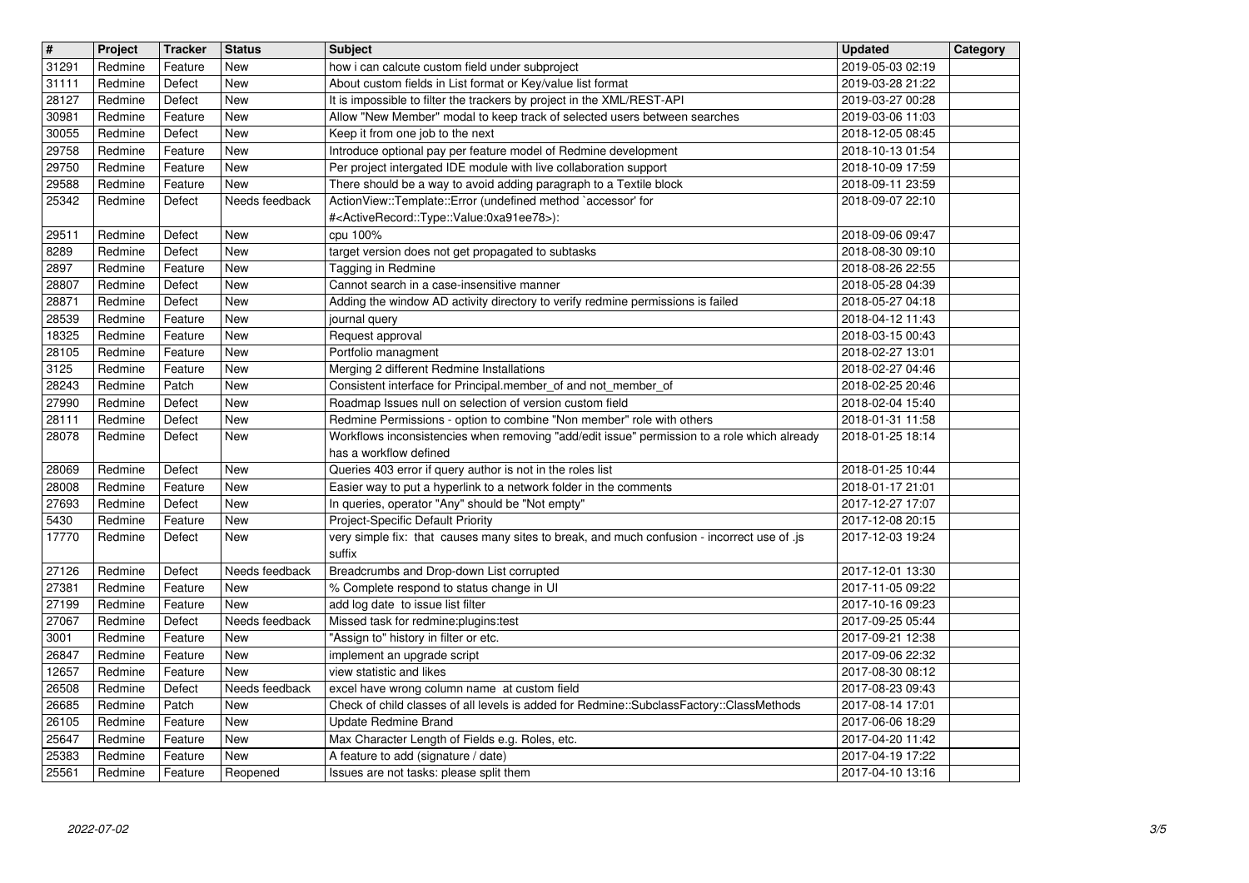| $\overline{\mathbf{H}}$ | Project            | <b>Tracker</b>     | <b>Status</b>         | <b>Subject</b>                                                                                                                           | <b>Updated</b>                       | Category |
|-------------------------|--------------------|--------------------|-----------------------|------------------------------------------------------------------------------------------------------------------------------------------|--------------------------------------|----------|
| 31291<br>31111          | Redmine<br>Redmine | Feature<br>Defect  | New<br>New            | how i can calcute custom field under subproject<br>About custom fields in List format or Key/value list format                           | 2019-05-03 02:19<br>2019-03-28 21:22 |          |
| 28127                   | Redmine            | Defect             | New                   | It is impossible to filter the trackers by project in the XML/REST-API                                                                   | 2019-03-27 00:28                     |          |
| 30981<br>30055          | Redmine<br>Redmine | Feature<br>Defect  | New<br>New            | Allow "New Member" modal to keep track of selected users between searches<br>Keep it from one job to the next                            | 2019-03-06 11:03<br>2018-12-05 08:45 |          |
| 29758                   | Redmine            | Feature            | <b>New</b>            | Introduce optional pay per feature model of Redmine development                                                                          | 2018-10-13 01:54                     |          |
| 29750                   | Redmine            | Feature            | New                   | Per project intergated IDE module with live collaboration support                                                                        | 2018-10-09 17:59                     |          |
| 29588<br>25342          | Redmine<br>Redmine | Feature<br>Defect  | New<br>Needs feedback | There should be a way to avoid adding paragraph to a Textile block<br>ActionView::Template::Error (undefined method `accessor' for       | 2018-09-11 23:59<br>2018-09-07 22:10 |          |
|                         |                    |                    |                       | # <activerecord::type::value:0xa91ee78>):</activerecord::type::value:0xa91ee78>                                                          |                                      |          |
| 29511                   | Redmine            | Defect             | New                   | cpu 100%                                                                                                                                 | 2018-09-06 09:47                     |          |
| 8289<br>2897            | Redmine<br>Redmine | Defect<br>Feature  | New<br>New            | target version does not get propagated to subtasks<br>Tagging in Redmine                                                                 | 2018-08-30 09:10<br>2018-08-26 22:55 |          |
| 28807                   | Redmine            | Defect             | New                   | Cannot search in a case-insensitive manner                                                                                               | 2018-05-28 04:39                     |          |
| 28871<br>28539          | Redmine            | Defect             | New                   | Adding the window AD activity directory to verify redmine permissions is failed                                                          | 2018-05-27 04:18                     |          |
| 18325                   | Redmine<br>Redmine | Feature<br>Feature | New<br><b>New</b>     | journal query<br>Request approval                                                                                                        | 2018-04-12 11:43<br>2018-03-15 00:43 |          |
| 28105                   | Redmine            | Feature            | <b>New</b>            | Portfolio managment                                                                                                                      | 2018-02-27 13:01                     |          |
| 3125<br>28243           | Redmine<br>Redmine | Feature<br>Patch   | New<br>New            | Merging 2 different Redmine Installations<br>Consistent interface for Principal.member_of and not_member_of                              | 2018-02-27 04:46<br>2018-02-25 20:46 |          |
| 27990                   | Redmine            | Defect             | New                   | Roadmap Issues null on selection of version custom field                                                                                 | 2018-02-04 15:40                     |          |
| 28111                   | Redmine            | Defect             | New                   | Redmine Permissions - option to combine "Non member" role with others                                                                    | 2018-01-31 11:58                     |          |
| 28078                   | Redmine            | Defect             | New                   | Workflows inconsistencies when removing "add/edit issue" permission to a role which already<br>has a workflow defined                    | 2018-01-25 18:14                     |          |
| 28069                   | Redmine            | Defect             | <b>New</b>            | Queries 403 error if query author is not in the roles list                                                                               | 2018-01-25 10:44                     |          |
| 28008                   | Redmine            | Feature            | <b>New</b>            | Easier way to put a hyperlink to a network folder in the comments                                                                        | 2018-01-17 21:01                     |          |
| 27693<br>5430           | Redmine<br>Redmine | Defect<br>Feature  | <b>New</b><br>New     | In queries, operator "Any" should be "Not empty"<br>Project-Specific Default Priority                                                    | 2017-12-27 17:07<br>2017-12-08 20:15 |          |
| 17770                   | Redmine            | Defect             | New                   | very simple fix: that causes many sites to break, and much confusion - incorrect use of .js                                              | 2017-12-03 19:24                     |          |
| 27126                   | Redmine            | Defect             | Needs feedback        | suffix<br>Breadcrumbs and Drop-down List corrupted                                                                                       | 2017-12-01 13:30                     |          |
| 27381                   | Redmine            | Feature            | New                   | % Complete respond to status change in UI                                                                                                | 2017-11-05 09:22                     |          |
| 27199                   | Redmine            | Feature            | New                   | add log date to issue list filter                                                                                                        | 2017-10-16 09:23                     |          |
| 27067<br>3001           | Redmine<br>Redmine | Defect<br>Feature  | Needs feedback<br>New | Missed task for redmine:plugins:test<br>"Assign to" history in filter or etc.                                                            | 2017-09-25 05:44<br>2017-09-21 12:38 |          |
| 26847                   | Redmine            | Feature            | New                   | implement an upgrade script                                                                                                              | 2017-09-06 22:32                     |          |
| 12657                   | Redmine            | Feature            | New                   | view statistic and likes                                                                                                                 | 2017-08-30 08:12                     |          |
| 26508<br>26685          | Redmine<br>Redmine | Defect<br>Patch    | Needs feedback<br>New | excel have wrong column name at custom field<br>Check of child classes of all levels is added for Redmine::SubclassFactory::ClassMethods | 2017-08-23 09:43<br>2017-08-14 17:01 |          |
| 26105                   | Redmine            | Feature            | New                   | Update Redmine Brand                                                                                                                     | 2017-06-06 18:29                     |          |
| 25647                   | Redmine            | Feature            | New                   | Max Character Length of Fields e.g. Roles, etc.                                                                                          | 2017-04-20 11:42                     |          |
| 25383<br>25561          | Redmine<br>Redmine | Feature<br>Feature | New<br>Reopened       | A feature to add (signature / date)<br>Issues are not tasks: please split them                                                           | 2017-04-19 17:22<br>2017-04-10 13:16 |          |
|                         |                    |                    |                       |                                                                                                                                          |                                      |          |
|                         |                    |                    |                       |                                                                                                                                          |                                      |          |
|                         |                    |                    |                       |                                                                                                                                          |                                      |          |
|                         |                    |                    |                       |                                                                                                                                          |                                      |          |
|                         |                    |                    |                       |                                                                                                                                          |                                      |          |
|                         |                    |                    |                       |                                                                                                                                          |                                      |          |
|                         |                    |                    |                       |                                                                                                                                          |                                      |          |
|                         |                    |                    |                       |                                                                                                                                          |                                      |          |
|                         |                    |                    |                       |                                                                                                                                          |                                      |          |
|                         |                    |                    |                       |                                                                                                                                          |                                      |          |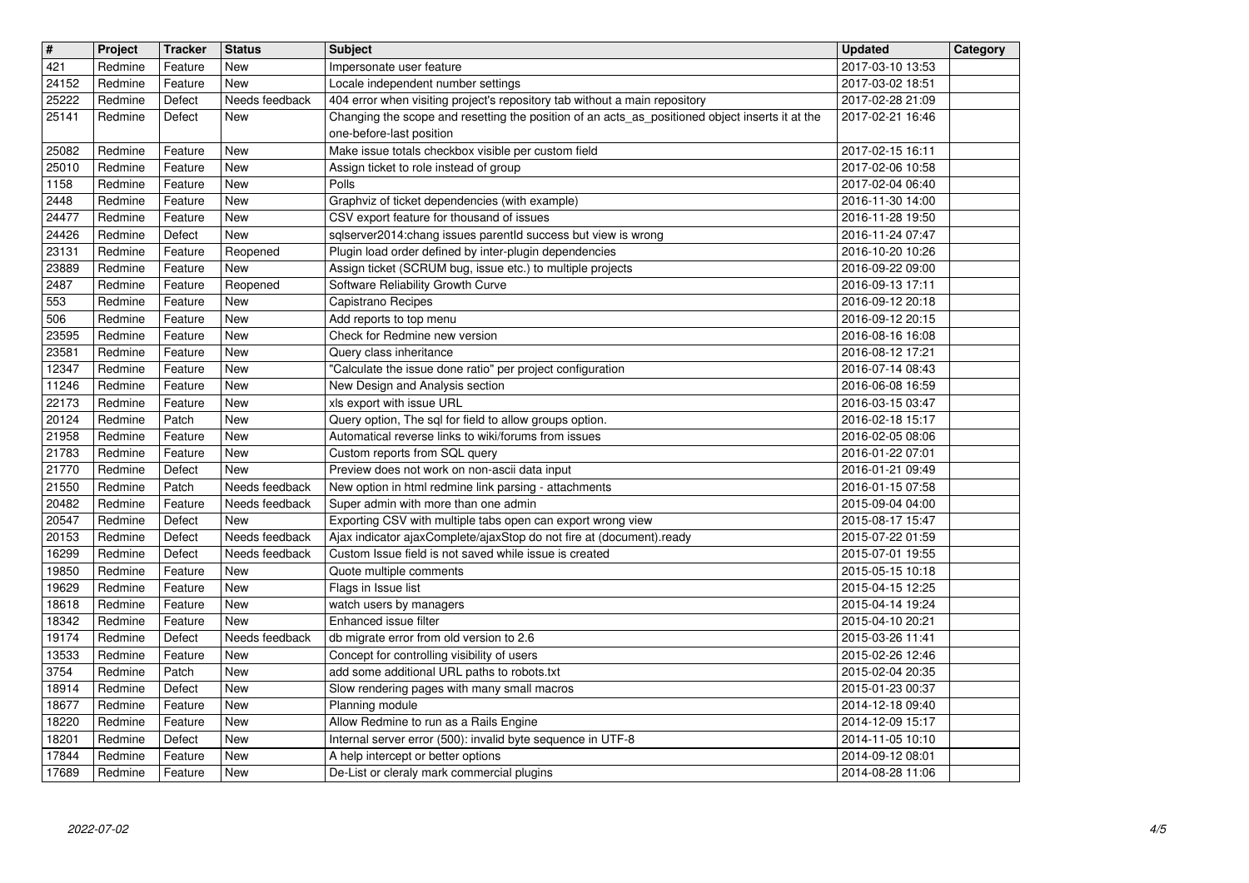| $\overline{\mathbf{H}}$ | Project            | <b>Tracker</b>     | <b>Status</b>                    | <b>Subject</b>                                                                                                       | <b>Updated</b>                       | Category |
|-------------------------|--------------------|--------------------|----------------------------------|----------------------------------------------------------------------------------------------------------------------|--------------------------------------|----------|
| 421                     | Redmine            | Feature            | New                              | Impersonate user feature                                                                                             | 2017-03-10 13:53                     |          |
| 24152<br>25222          | Redmine<br>Redmine | Feature<br>Defect  | <b>New</b><br>Needs feedback     | Locale independent number settings<br>404 error when visiting project's repository tab without a main repository     | 2017-03-02 18:51<br>2017-02-28 21:09 |          |
| 25141                   | Redmine            | Defect             | New                              | Changing the scope and resetting the position of an acts_as_positioned object inserts it at the                      | 2017-02-21 16:46                     |          |
|                         |                    |                    |                                  | one-before-last position                                                                                             |                                      |          |
| 25082                   | Redmine            | Feature            | <b>New</b>                       | Make issue totals checkbox visible per custom field                                                                  | 2017-02-15 16:11                     |          |
| 25010<br>1158           | Redmine<br>Redmine | Feature<br>Feature | New<br>New                       | Assign ticket to role instead of group<br>Polls                                                                      | 2017-02-06 10:58<br>2017-02-04 06:40 |          |
| 2448                    | Redmine            | Feature            | <b>New</b>                       | Graphviz of ticket dependencies (with example)                                                                       | 2016-11-30 14:00                     |          |
| 24477                   | Redmine            | Feature            | <b>New</b>                       | CSV export feature for thousand of issues                                                                            | 2016-11-28 19:50                     |          |
| 24426                   | Redmine            | Defect             | New                              | sqlserver2014:chang issues parentId success but view is wrong                                                        | 2016-11-24 07:47                     |          |
| 23131<br>23889          | Redmine<br>Redmine | Feature<br>Feature | Reopened<br>New                  | Plugin load order defined by inter-plugin dependencies<br>Assign ticket (SCRUM bug, issue etc.) to multiple projects | 2016-10-20 10:26<br>2016-09-22 09:00 |          |
| 2487                    | Redmine            | Feature            | Reopened                         | Software Reliability Growth Curve                                                                                    | 2016-09-13 17:11                     |          |
| 553                     | Redmine            | Feature            | New                              | Capistrano Recipes                                                                                                   | 2016-09-12 20:18                     |          |
| 506                     | Redmine            | Feature            | New                              | Add reports to top menu                                                                                              | 2016-09-12 20:15                     |          |
| 23595<br>23581          | Redmine<br>Redmine | Feature<br>Feature | <b>New</b><br><b>New</b>         | Check for Redmine new version<br>Query class inheritance                                                             | 2016-08-16 16:08<br>2016-08-12 17:21 |          |
| 12347                   | Redmine            | Feature            | <b>New</b>                       | "Calculate the issue done ratio" per project configuration                                                           | 2016-07-14 08:43                     |          |
| 11246                   | Redmine            | Feature            | <b>New</b>                       | New Design and Analysis section                                                                                      | 2016-06-08 16:59                     |          |
| 22173                   | Redmine<br>Redmine | Feature            | <b>New</b>                       | xls export with issue URL                                                                                            | 2016-03-15 03:47                     |          |
| 20124<br>21958          | Redmine            | Patch<br>Feature   | New<br>New                       | Query option, The sql for field to allow groups option.<br>Automatical reverse links to wiki/forums from issues      | 2016-02-18 15:17<br>2016-02-05 08:06 |          |
| 21783                   | Redmine            | Feature            | New                              | Custom reports from SQL query                                                                                        | 2016-01-22 07:01                     |          |
| 21770                   | Redmine            | Defect             | <b>New</b>                       | Preview does not work on non-ascii data input                                                                        | 2016-01-21 09:49                     |          |
| 21550<br>20482          | Redmine<br>Redmine | Patch<br>Feature   | Needs feedback<br>Needs feedback | New option in html redmine link parsing - attachments<br>Super admin with more than one admin                        | 2016-01-15 07:58<br>2015-09-04 04:00 |          |
| 20547                   | Redmine            | Defect             | New                              | Exporting CSV with multiple tabs open can export wrong view                                                          | 2015-08-17 15:47                     |          |
| 20153                   | Redmine            | Defect             | Needs feedback                   | Ajax indicator ajaxComplete/ajaxStop do not fire at (document).ready                                                 | 2015-07-22 01:59                     |          |
| 16299                   | Redmine            | Defect             | Needs feedback                   | Custom Issue field is not saved while issue is created                                                               | 2015-07-01 19:55                     |          |
| 19850<br>19629          | Redmine<br>Redmine | Feature<br>Feature | New<br>New                       | Quote multiple comments<br>Flags in Issue list                                                                       | 2015-05-15 10:18<br>2015-04-15 12:25 |          |
| 18618                   | Redmine            | Feature            | New                              | watch users by managers                                                                                              | 2015-04-14 19:24                     |          |
| 18342                   | Redmine            | Feature            | New                              | Enhanced issue filter                                                                                                | 2015-04-10 20:21                     |          |
| 19174                   | Redmine            | Defect             | Needs feedback                   | db migrate error from old version to 2.6                                                                             | 2015-03-26 11:41                     |          |
| 13533<br>3754           | Redmine<br>Redmine | Feature<br>Patch   | <b>New</b><br>New                | Concept for controlling visibility of users<br>add some additional URL paths to robots.txt                           | 2015-02-26 12:46<br>2015-02-04 20:35 |          |
| 18914                   | Redmine            | Defect             | <b>New</b>                       | Slow rendering pages with many small macros                                                                          | 2015-01-23 00:37                     |          |
| 18677                   | Redmine            | Feature            | New                              | Planning module                                                                                                      | 2014-12-18 09:40                     |          |
| 18220<br>18201          | Redmine<br>Redmine | Feature<br>Defect  | New<br>New                       | Allow Redmine to run as a Rails Engine<br>Internal server error (500): invalid byte sequence in UTF-8                | 2014-12-09 15:17<br>2014-11-05 10:10 |          |
| 17844                   | Redmine            | Feature            | New                              | A help intercept or better options                                                                                   | 2014-09-12 08:01                     |          |
| 17689                   | Redmine            | Feature            | New                              | De-List or cleraly mark commercial plugins                                                                           | 2014-08-28 11:06                     |          |
|                         |                    |                    |                                  |                                                                                                                      |                                      |          |
|                         |                    |                    |                                  |                                                                                                                      |                                      |          |
|                         |                    |                    |                                  |                                                                                                                      |                                      |          |
|                         |                    |                    |                                  |                                                                                                                      |                                      |          |
|                         |                    |                    |                                  |                                                                                                                      |                                      |          |
|                         |                    |                    |                                  |                                                                                                                      |                                      |          |
|                         |                    |                    |                                  |                                                                                                                      |                                      |          |
|                         |                    |                    |                                  |                                                                                                                      |                                      |          |
|                         |                    |                    |                                  |                                                                                                                      |                                      |          |
|                         |                    |                    |                                  |                                                                                                                      |                                      |          |
|                         |                    |                    |                                  |                                                                                                                      |                                      |          |
|                         |                    |                    |                                  |                                                                                                                      |                                      |          |
|                         |                    |                    |                                  |                                                                                                                      |                                      |          |